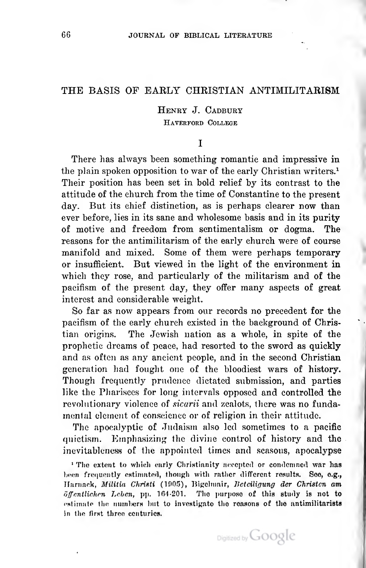## THE BASIS OF EARLY CHRISTIAN ANTIMILITARISM

## HENRY J. CADBURY HAVERFORD COLLEGE

### I

There has always been something romantic and impressive in the plain spoken opposition to war of the early Christian writers.<sup>1</sup> Their position has been set in bold relief by its contrast to the attitude of the church from the time of Constantine to the present day. But its chief distinction, as is perhaps clearer now than ever before, lies in its sane and wholesome basis and in its purity of motive and freedom from sentimentalism or dogma. The reasons for the antimilitarism of the early church were of course manifold and mixed. Some of them were perhaps temporary or insufficient. But viewed in the light of the environment in which they rose, and particularly of the militarism and of the pacifism of the present day, they offer many aspects of great interest and considerable weight.

So far as now appears from our records no precedent for the pacifism of the early church existed in the background of Christian origins. The Jewish nation as a whole, in spite of the prophetic dreams of peace, had resorted to the sword as quickly and as often as any ancient people, and in the second Christian generation had fought one of the bloodiest wars of history. 'fhough frequently prudence dictated submission, and parties like the Pharisees for long intervals opposed and controlled the revolutionary violence of *sicarii* and zealots, there was no fundamental element of conscience or of religion in their attitude.

The apocalyptic of Judaism also led sometimes to a pacific quietism. Emphasizing the divine control of history and the inevitableness of the appointed times and seasons, apocalypse

<sup>1</sup> The extent to which enrly Christianity necepted or condemned war has been frequently estimated, though with rather different results. See, e.g., Harnnek, Militia Christi (1905), Bigelmnir, Beteiligung der Christen am *iffentlichen Leben*, pp. 164-201. The purpose of this study is not to estimate the numbers but to investigate the reasons of the antimilitarists in the first three centuries.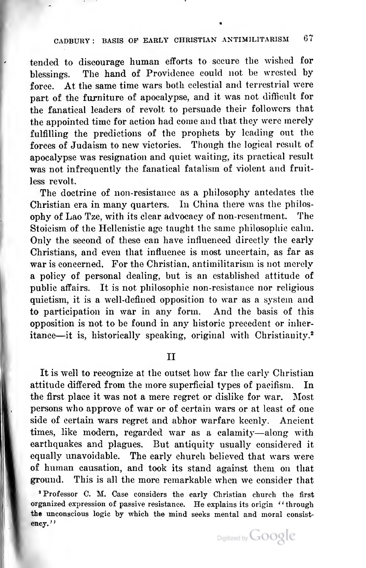## CADBURY: BASIS OF EARLY CHRISTIAN ANTIMILITARISM  $67$

tended to discourage human efforts to secure the wished for blessings. The hand of Providence could not be wrested by force. At the same time wars both celestial and terrestrial were part of the furniture of apocalypse, and it was not difficult for the fanatical leaders of revolt to persuade their followers that the appointed time for action had come and that they were merely fulfilling the predictions of the prophets by leading out the forces of Judaism to new victories. Though the logical result of apocalypse was resignation and quiet waiting, its practical result was not infrequently the fanatical fatalism of violent and fruitless revolt.

The doctrine of non-resistance as a philosophy antedates the Christian era in many quarters. In China there was the philosophy of Lao Tze, with its clear advocacy of non-resentment. 'l'he Stoicism of the Hellenistic age taught the same philosophic calm. Only the second of these can have influenced directly the early Christians, and even that influence is most uncertain, as far as war is concerned. For the Christian, antimilitarism is not merely a policy of personal dealing, but is an established attitude of public affairs. It is not philosophic non-resistance nor religious quietism, it is a well-defined opposition to war as a system and to participation in war in any form. And the basis of this opposition is not to be found in any historic precedent or inheritance—it is, historically speaking, original with Christianity.<sup>2</sup>

II

It is well to recognize at the outset how far the early Christian attitude differed from the more superficial types of pacifism. In the first place it was not a mere regret or dislike for war. Most persons who approve of war or of certain wars or at least of one side of certain wars regret and abhor warfare keenly. Ancient times, like modern, regarded war as a calamity-along with earthquakes and plagues. But antiquity usually considered it equally unavoidable. The early church believed that wars were of human causation, and took its stand against them on that ground. This is all the more remarkable when we consider that

2 Professor C. M. Case considers the early Christian church the first organized expression of passive resistance. He explains its origin ''through the unconscious logic by which the mind seeks mental and moral consistency.''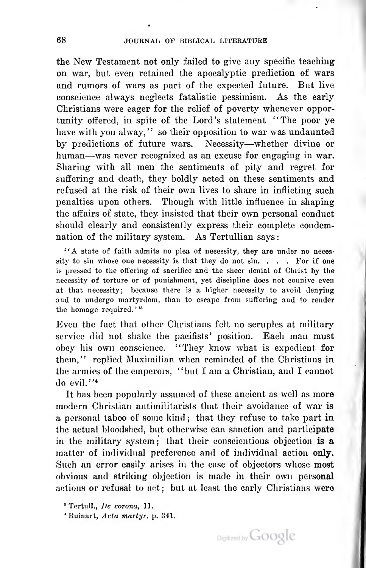the New Testament not only failed to give any specific teaching on war, but even retained the apocalyptic prediction of wars and rumors of wars as part of the expected future. But live conscience always neglects fatalistic pessimism. As the early Christians were eager for the relief of poverty whenever opportunity offered, in spite of the Lord's statement ''The poor ye have with you alway," so their opposition to war was undaunted by predictions of future wars. Necessity-whether divine or human—was never recognized as an excuse for engaging in war. Sharing with all men the sentiments of pity and regret for suffering and death, they boldly acted on these sentiments and refused at the risk of their own lives to share in inflicting such penalties upon others. Though with little influence in shaping the affairs of state, they insisted that their own personal conduct should clearly and consistently express their complete condemnation of the military system. As Tertullian says:

"A state of faith admits no plea of necessity, they are under no necessity to sin whose one necessity is that they do not sin. . . . For if one is pressed to the offering of sacrifice and the sheer denial of Christ by the necessity of torture or of punishment, yet discipline does not connive even at that necessity; because there is a higher necessity to avoid denying and to undergo martyrdom, than to eseape from suffering and to render the homage required."<sup>33</sup>

Even the fact that other Christians felt no scruples at military service did not shake the pacifists' position. Each man must obey his own conscience. "They know what is expedient for them," replied Maximilian when reminded of the Christians in the armies of the emperors, "but I am a Christian, and I cannot do eviL"'

It has been popularly assumed of these ancient as well as more modern Christian antimilitarists that their avoidance of war is a personal taboo of some kind; that they refuse to take part in the actual bloodshed, but otherwise can sanction and participate in the military system; that their conscientious objection is a matter of individual preference and of individual action only. Such an error easily arises in the case of objectors whose most obvious and striking objection is made in their own personal actions or refusal to act; but at least the early Christians were

<sup>1</sup> Tertull., *De corona*, 11.

<sup>•</sup> Ruinart, *Acta martyr.* p. 341.

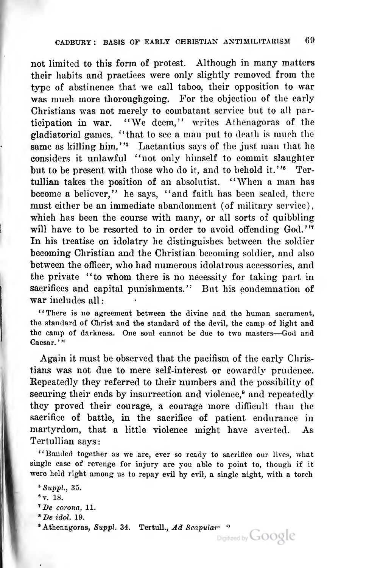not limited to this form of protest. Although in many matters their habits and practices were only slightly removed from the type of abstinence that we call taboo, their opposition to war was much more thoroughgoing. For the objection of the early Christians was not merely to combatant service but to all participation in war. "We deem," writes Athenagoras of the gladiatorial games, "that to see a man put to death is much the same as killing him."<sup>5</sup> Lactantius says of the just man that he considers it unlawful "not only himself to commit slaughter but to be present with those who do it, and to behold it."<sup>6</sup> Tertullian takes the position of an absolutist. "When a man has become a believer,'' he says, ''and faith has been sealed, there must either be an immediate abandonment (of military service ), which has been the course with many, or all sorts of quibbling will have to be resorted to in order to avoid offending God."<sup>7</sup> In his treatise on idolatry he distinguishes between the soldier becoming Christian and the Christian becoming soldier, and also between the officer, who had numerous idolatrous accessories, and the private "to whom there is no necessity for taking part in sacrifices and capital punishments." But his condemnation of war includes all :

''There is no agreement between the divine and the human sacrament, the standard of Christ and the standard of the devil, the camp of light and the camp of darkness. One soul cannot be due to two masters-God and Caesar.''<sup>s</sup>

Again it must be observed that the pacifism of the early Christians was not due to mere self-interest or cowardly prudence. Repeatedly they referred to their numbers and the possibility of securing their ends by insurrection and violence,<sup>9</sup> and repeatedly they proved their courage, a courage more difficult than the sacrifice of battle, in the sacrifice of patient endurance in martyrdom, that a little violence might have averted. As Tertullian says :

"Banded together as we are, ever so ready to sacrifice our lives, what single case of revenge for injury are you able to point to, though if it were held right among us to repay evil by evil, a single night, with a torch

<sup>&</sup>lt;sup>5</sup> Suppl., 35.<br><sup>8</sup> V. 18.<br>*7 De corona,* 11.<br>**8** *De idol.* **19.<br>9 Athenagoras,** *Suppl.* **34. Tertull.,** *Ad Scapular***, <sup>2</sup>. Digitized by GOOQL**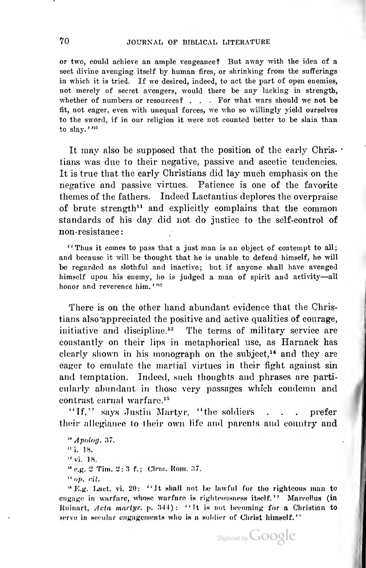or two, could achieve an ample vengeance? But away with the idea of a sect divine avenging itself by human fires, or shrinking from the sufferings in which it is tried. If we desired, indeed, to act the part of open enemies, not merely of secret avengers, would there be any lacking in strength, whether of numbers or resources? . . . For what wars should we not be fit, not eager, even with unequal forces, we who so willingly yield ourselves to the sword, if in our religion it were not counted better to be slain than to  $slav.'$ "

It may also be supposed that the position of the early Christians was due to their negative, passive and ascetic tendencies. It is true that the early Christians did lay much emphasis on the negative and passive virtues. Patience is one of the favorite themes of the fathers. Indeed Lactantius deplores the overpraise of brute strength<sup>11</sup> and explicitly complains that the common standards of his day did not do justice to the self-control of non-resistance:

''Thus it comes to pass that a just man is an object of contempt to all; and because it will be thought that he is unable to defend himself, he will be regarded as slothful and inactive; but if anyone shall have avenged himself upon his enemy, he is judged a man of spirit and activity-all honor and reverence him.'"<sup>2</sup>

There is on the other hand abundant evidence that the Christians also·appreciated the positive and active qualities of courage, initiative and discipline.<sup>13</sup> The terms of military service are constantly on their lips in metaphorical use, as Harnack has clearly shown in his monograph on the subject,<sup>14</sup> and they are eager to emulate the martial virtues in their fight against sin and temptation. Indeed, such thoughts and phrases nre particularly abundant in those very passages which condemn and contrast carnal warfare.<sup>15</sup>

"If," says Justin Martyr, "the soldiers . . . prefer their allegiance to their own life and parents and country and

II i. IS.

 $"$  vi. 18.

<sup>12</sup> e.g. 2 Tim. 2: 3 f.; Clem. Rom. 37.

 $"$  op.  $cit.$ 

p, cu.<br>"E.g. Lnct. vi. 20: "It shall not be lawful for the righteous man to engage in warfare, whose warfnro is righteousness itself." Marcellus (in Ruinart, Acta martyr. p. 344): "It is not becoming for a Christian to serve in secular engagements who is a soldier of Christ himself."

<sup>&</sup>lt;sup>10</sup> Apolog. 37.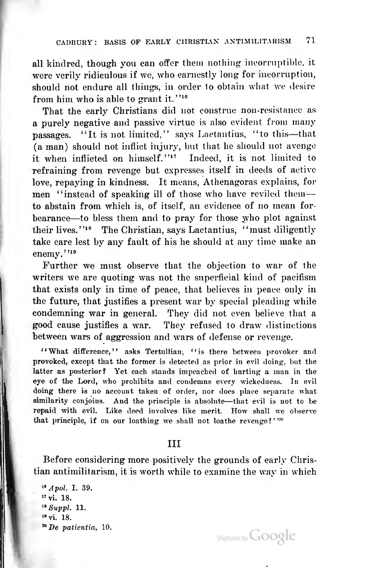all kindred, though yon can offer them nothing incorruptible, it were verily ridiculous if we, who earnestly long for incorruption, should not endure all things, in order to obtain what we desire from him who is able to grant it.''<sup>16</sup>

That the early Christians did not construe non-resistance as a purely negative and passive virtue is also evident from many passages. "It is not limited," says Lactantius, "to this-that (a man) should not inflict injury, but that he should not avenge it when inflieted on himself."<sup>17</sup> Indeed, it is not limited to refraining from revenge but expresses itself in deeds of active love, repaying in kindness. It means, Athenagoras explains, for men "instead of speaking ill of those who have reviled themto abstain from which is, of itself, an evidence of no mean forbearance—to bless them and to pray for those who plot against their lives."<sup>18</sup> The Christian, says Lactantius, "must diligently take care lest by any fault of his he should at any time make an enemy.''19

Further we must observe that the objection to war of the writers we are quoting was not the superficial kind of pacifism that exists only in time of peace, that believes in peace only in the future, that justifies a present war by special pleading while condemning war in general. They did not even believe that a good cause justifies a war. They refused to draw distinctions between wars of aggression and wars of defense or revenge.

''What difference, ' ' asks Tertullian; ''is there between provoker and provoked, except that the former is detected as prior in evil doing, but the latter as posterior? Yet each stands impeached of hurting a man in the eye of the Lord, who prohibits and condemns ewry wickedness. In evil doing there is no account taken of order, nor does place separate what similarity conjoins. And the principle is absolute-that evil is not to be repaid with evil. Like deed involves like merit. How shall we observe that principle, if on our loathing we shall not loathe revenge?'"

## III

Before considering more positively the grounds of early Christian antimilitarism, it is worth while to examine the way in which

<sup>16</sup> Apol. I. 39.<br><sup>17</sup> vi. 18.<br><sup>18</sup> Suppl. 11.  $19$  vi. 18. 20 *De patientia,* 10.

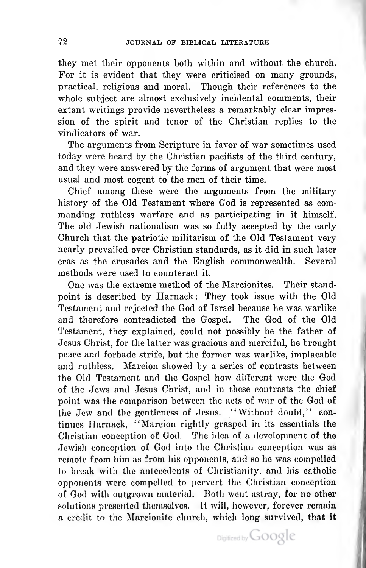they met their opponents both within and without the church. For it is evident that they were criticised on many grounds, practical, religious and moral. Though their references to the whole subject are almost exclusively incidental comments, their extant writings provide nevertheless a remarkably clear impression of the spirit and tenor of the Christian replies to the vindicators of war.

The arguments from Scripture in fayor of war sometimes used today were heard by the Christian pacifists of the third century, and they were answered by the forms of argument that were most usual and most cogent to the men of their time.

Chief among these were the arguments from the military history of the Old Testament where God is represented as commanding ruthless warfare and as participating in it himself. The old Jewish nationalism was so fully accepted by the early Church that the patriotic militarism of the Old Testament very nearly prevailed over Christian standards, as it did in such later eras as the crusades and the English commonwealth. Several methods were used to counteract it.

One was the extreme method of the Marcionites. Their standpoint is described by Harnack: They took issue with the Old Testament and rejected the God of Israel because he was warlike and therefore contradicted the Gospel. The God of the Old Testament, they explained, could not possibly be the father of Jesus Christ, for the latter was gracious and merciful, he brought peace and forbade strife, but the former was warlike, implacable and ruthless. Marcion showed by a series of contrasts between the Old Testament and the Gospel how different were the God of the Jews and Jesus Christ, and in these contrasts the chief point was the comparison between the acts of war of the God of the Jew and the gentleness of Jesus. "Without doubt," continues Harnack, "Marcion rightly grasped in its essentials the Christian conception of God. 'fhe idea of a development of the ,Jewish conception of God into the Christian conception was as remote from him as from his opponents, and so he was compelled to break with the antecedents of Christianity, and his catholic opponents were compelled to pervert the Christian conception of God with outgrown material. Both went astray, for no other solutions presented themselves. It will, however, forever remain a credit to the Marcionite church, which long survived, that it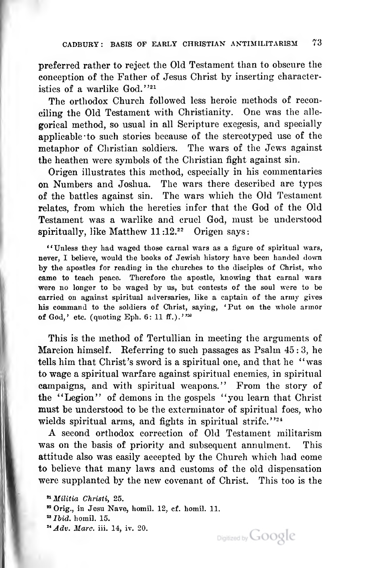preferred rather to reject the Old Testament than to obscure the conception of the Father of Jesus Christ by inserting characteristics of a warlike God.' ' 21

The orthodox Church followed less heroic methods of reconciling the Old Testament with Christianity. One was the allegorical method, so usual in all Scripture exegesis, and specially applicable ·to such stories because of the stereotyped usc of the metaphor of Christian soldiers. The wars of the Jews against the heathen were symbols of the Christian fight against sin.

Origen illustrates this method, especially in his commentaries on Numbers and Joshua. 'fhe wars there described are types of the battles against sin. The wars which the Old 'festament relates, from which the heretics infer that the God of the Old Testament was a warlike and cruel God, must be understood spiritually, like Matthew  $11:12.^{22}$  Origen says:

''Unless they had waged those carnal wars as a figure of spiritual wars, never, I believe, would the books of Jewish history have been handed down by the apostles for reading in the churches to the disciples of Christ, who came to teach peace. Therefore the apostle, knowing that carnal wars were no longer to be waged by us, but contests of the soul were to be carried on against spiritual adversaries, like a captain of the army gives his command to the soldiers of Christ, saying, 'Put on the whole armor of God,' etc. (quoting Eph.  $6: 11$  ff.).<sup> $123$ </sup>

This is the method of Tertullian in meeting the arguments of Marcion himself. Referring to such passages as Psalm 45: 3, he tells him that Christ's sword is a spiritual one, and that he "was to wage a spiritual warfare against spiritual enemies, in spiritual campaigns, and with spiritual weapons.'' From the story of the "Legion" of demons in the gospels "you learn that Christ must be understood to be the exterminator of spiritual foes, who wields spiritual arms, and fights in spiritual strife."<sup>24</sup>

*A* second orthodox correction of Old Testament militarism was on the basis of priority and subsequent annulment. This attitude also was easily accepted by the Church which had come to believe that many laws and customs of the old dispensation were supplanted by the new covenant of Christ. This too is the

- 11 *Militia Christi,* 25. 22 Orig., in Jesu Nave, homil. 12, cf. homil. 11.
- 
- <sup>23</sup> *Ibid.* homil. 15.<br><sup>24</sup> *Adv. Marc.* iii. 14, iv. 20.

Digitized by Google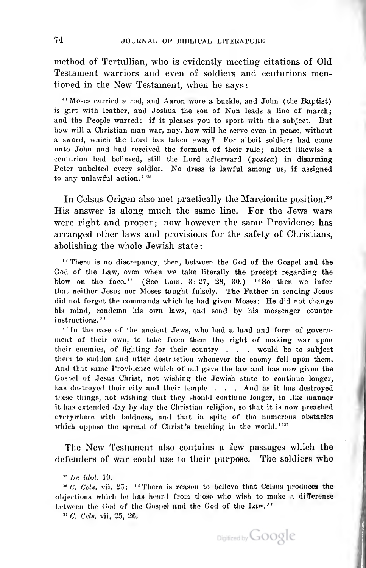method of Tertullian, who is evidently meeting citations of Old Testament warriors and even of soldiers and centurions mentioned in the New Testament, when he says:

'':Moses carried a rod, and Aaron wore a buckle, and John (the Baptist) is girt with leather, and Joshua the son of Nun leads a line of march; and the People warred: if it pleases you to sport with the subject. But how will a Christian man war, nay, how will he serve even in peace, without a sword, which the Lord has taken awayf For albeit soldiers had come unto John and had received the formula of their rule; albeit likewise a centurion had believed, still the Lord afterward *(postea)* in disarming Peter unbelted every soldier. No dress is lawful among us, if assigned to any unlawful action.' <sup>125</sup>

In Celsus Origen also met practically the Marcionite position.<sup>26</sup> His answer is along much the same line. For the Jews wars were right and proper; now however the same Providence has arranged other laws and provisions for the safety of Christians, abolishing the whole Jewish state:

''There is no discrepancy, then, between the God of the Gospel and the God of the Law, even when we take literally the precept regarding the blow on the face." (See Lam.  $3:27, 28, 30.$ ) "So then we infer that neither Jesus nor Moses taught falsely. The Father in sending Jesus did not forget the commands which he had given Moses: He did not change his mind, condemn his own laws, and send by his messenger counter instructions."

"In the case of the ancient Jews, who had a land and form of government of their own, to take from them tho right of making war upon their enemies, of fighting for their country . . would be to subject them to sudden and utter destruction whenever the enemy fell upon them. And that same Providence which of old gave the law and has now given the Gospel of Jesus Christ, not wishing the Jewish state to continue longer, has destroyed their city and their temple . . . And as it has destroyed these things, not wishing that they should continue longer, in like manner it has extended day by day the Christian religion, so that it is now preached everywhere with holdness, and that in spite of the numerous obstacles which oppose the spread of Christ's teaching in the world.<sup>1727</sup>

The New Testament also contains a few passages which the defenders of war could use to their purpose. The soldiers who

<sup>24</sup> C. Cels. vii. 25: ''There is reason to believe that Celsus produces the objections which he has heard from those who wish to make a difference between the God of the Gospel nud the God of the Law.''

<sup>21</sup> *C. Cels.* vii, 25, 26.

 $*$  *De idol.* 19.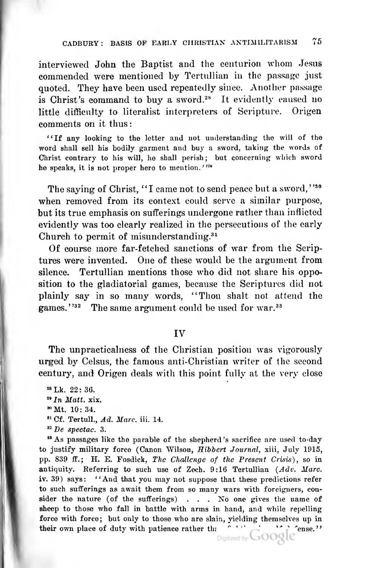interviewed John the Baptist and the centurion whom Jesus commended were mentioned by Tertullian in the passage just quoted. They have been used repeatedly since. Another passage is Christ's command to buy a sword.<sup>28</sup> It evidently caused no little difficulty to literalist interpreters of Scripture. Origen comments on it thus:

''If any looking to the letter and uot understanding the will of the word shall sell his bodily garment and buy a sword, taking the words of Christ contrary to his will, he shall perish; but concerning which sword he speaks, it is not proper hero to mention. ' *<sup>m</sup>*

The saying of Christ, "I came not to send peace but a sword,"30 when removed from its context could serve a similar purpose, but its true emphasis on sufferings undergone rather than inflicted evidently was too clearly realized in the persecutions of the early Church to permit of misunderstanding.<sup>31</sup>

Of eourse more far-fetched sanctions of war from the Scriptures were invented. One of these would be the argument from silence. Tertullian mentions those who did not share his opposition to the gladiatorial games, because the Scriptures did not plainly say in so many words, ''Thou shalt not attend the games."<sup>32</sup> The same argument could be used for war.<sup>33</sup>

## IV

The unpracticalness of the Christian position was vigorously urged by Celsus, the famous anti-Christian writer of the second century, and Origen deals with this point fully at the very close

- 
- 
- 

<sup>29</sup> In Matt. xix.<br><sup>30</sup> Mt. 10: 34.<br><sup>31</sup> Of. Tertull., *Ad. Marc.* iii. 14.<br><sup>32</sup> *De spectac.* 3.<br><sup>33</sup> As passages like the parable of the shepherd's sacrifice are used to-day to justify military force (Canon Wilson, *Hibbert Journal*, xiii, July 1915, pp. 839 ff.; H. E. Fosdick, *The Challenge of th e Present Crisis) ,* so in antiquity. Referring to such use of Zech. 9:16 Tertullian *(Adv. Marc.* iv. 39) says: ''And that you may not suppose that these predictions refer to such sufferings as await them from so many wars with foreigners, consider the nature (of the sufferings) . . . No one gives the name of sheep to those who fall in battle with arms in hand, and while repelling force with force; but only to those who are slain, yielding themselves up in their own place of duty with patience rather then fighting in self defense."

<sup>28</sup>Lk. 22 : 36.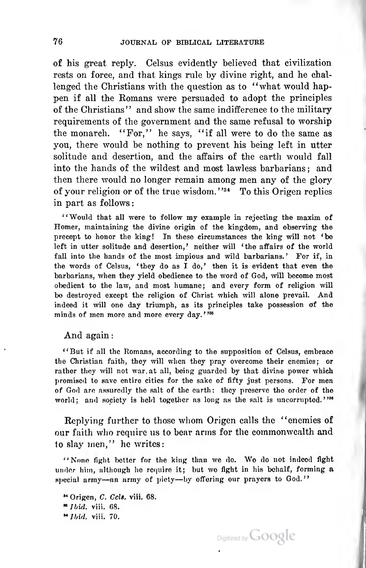of his great reply. Celsus evidently believed that civilization rests on force, and that kings rule by divine right, and he challenged the Christians with the question as to "what would happen if all the Romans were persuaded to adopt the principles of the Christians'' and show the same indifference to the military requirements of the government and the same refusal to worship the monarch. "For," he says, "if all were to do the same as you, there would be nothing to prevent his being left in utter solitude and desertion, and the affairs of the earth would fall into the hands of the wildest and most lawless barbarians; and then there would no longer remain among men any of the glory of your religion or of the true wisdom.''<sup>34</sup> To this Origen replies in part as follows :

"Would that all were to follow my example in rejecting the maxim of Homer, maintaining the divine origin of the kingdom, and observing the precept to honor the king! In these circumstances the king will not 'be left in utter solitude and desertion,' neither will 'the affairs of the world fall into the hands of the most impious and wild barbarians.' For if, in the words of Celsus, 'they do as I do,' then it is evident that even the barbarians, when they yield obedience to the word of God, will become most obedient to the law, and most humane; and every form of religion will bo destroyed except the religion of Christ which will alone prevail. And indeed it will one day triumph, as its principles take possession df the minds of men more and more every day.'<sup>135</sup>

### And again:

''But if all the Romans, according to the supposition of Celsus, embrace the Christian faith, they will when they pray overcome their enemies; or rather they will not war. at all, being guarded by that divine power which promised to save entire cities for the sake of fifty just persons. For men of God arc assuredly the salt of the earth: they preserve the order of the world; and society is held together as long as the salt is uncorrupted.''

Replying further to those whom Origen calls the "enemies of our faith who require us to bear arms for the commonwealth and to slay men," he writes:

"None fight better for the king than we do. Wo do not indeed fight under him, although he require it; but we fight in his behalf, forming a Kpccial army- nn army of piety- hy offering our prayers to God.''

 $*$  Origen, C. Cels. viii. 68. <sup>16</sup> *Ibid.* viii. 68.  $M$  *Jbid.* viii. 70.

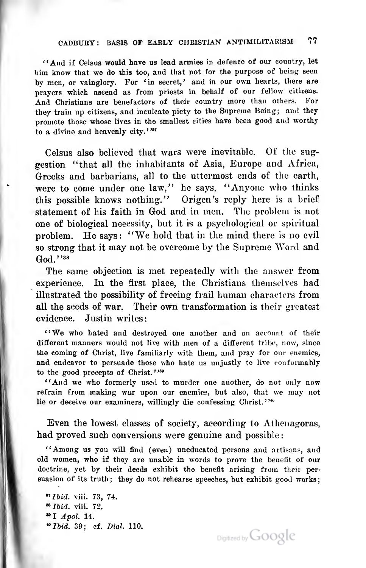# CADBURY: BASIS OF EARLY CHRISTIAN ANTIMILITARISM 77

"And if Celsus would have us lead armies in defence of our country, let him know that we do this too, and that not for the purpose of being seen by men, or vainglory. For 'in secret,' anu in our own hearts, there are prayers which ascend as from priests in behalf of our fellow citizens. And Christians are benefactors of their eountry more than others. For they train up citizens, and inculcate piety to the Supreme Being; and they promote those whose lives in the smallest cities have been good and worthy to a divine and heavenly city.'\*\*

Celsus also believed that wars were inevitable. Of the suggestion "that all the inhabitants of Asia, Europe and Africa, Greeks and barbarians, all to the uttermost ends of the earth, were to come under one law," he says, "Anyone who thinks this possible knows nothing.'' Origcn 's reply here is a brief statement of his faith in God and in men. The problem is not one of biological necessity, but it is a psychological or spiritual problem. He says: "We hold that in the mind there is no evil so strong that it may not be overcome by the Supreme Word and God.''as

The same objection is met repeatedly with the answer from experience. In the first place, the Christians themselves had illustrated the possibility of freeing frail human characters from all the seeds of war. Their own transformation is their greatest evidence. Justin writes:

"We who hated and destroyed one another and on account of their different manners would not live with men of a different tribe, now, since the coming of Christ, live familiarly with them, and pray for our enemies, and endeavor to persuade those who hate us unjustly to live conformably to the good precepts of Christ.'<sup>739</sup>

''And we who formerly used to murder one another, do not only now refrain from making war upon our enemies, but also, that we may not lie or deceive our examiners, willingly die confessing Christ."<sup>140</sup>

Even the lowest classes of society, according to Athenagoras, had proved such conversions were genuine and possible :

"Among us you will find (even) uneducated persons and artisans, and old women, who if they are unable in words to prove the benefit of our doctrine, yet by their deeds exhibit the benefit arising from their persuasion of its truth; they do not rehearse speeches, but exhibit good works;

<sup>87</sup> *Ibid.* viii. 73, 74. <sup>38</sup> *Ibid.* viii. 72.<br><sup>39</sup> I *A* pol. 14. .., *Ibid.* 39; ef. *Dial.* 110.

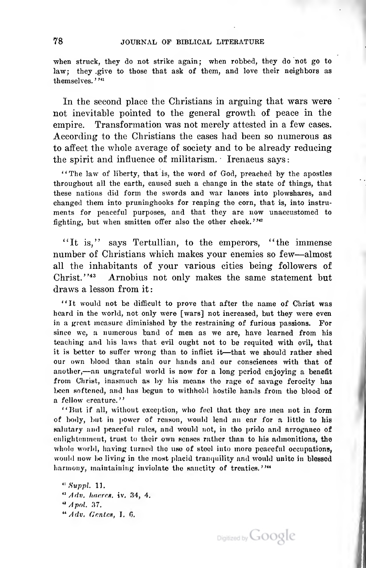when struck, they do not strike again; when robbed, they do 'not go to law; they .give to those that ask of them, and love their neighbors as themselves.''<sup>41</sup>

In the second place the Christians in arguing that wars were not inevitable pointed to the general growth of peace in the empire. Transformation was not merely attested in a few cases. According to the Christians the cases had been so numerous as to affect the whole average of society and to be already reducing the spirit and influence of militarism. · Irenaeus says:

" The law of liberty, that is, the word of God, preached by the apostles throughout all the earth, caused such a change in the state of things, that these nations did form the swords and war lances into plowshares, and changed them into pruninghooks for reaping the corn, that is, into instruments for peaceful purposes, and that they are now unaccustomed to fighting, but when smitten offer also the other cheek." $\mu$ 

' 'It is,'' says Tertullian, to the emperors, ''the immense number of Christians which makes your enemies so few-almost all the inhabitants of your various cities being followers of Christ.''43 Arnobius not only makes the same statement but draws a lesson from it:

" It would not be difficult to prove that after the name of Christ was heard in the world, not only were [wars] not increased, but they were even in a great measure diminished by the restraining of furious passions. For since we, a numerous band of men as we are, have learned from his teaching and his laws that evil ought not to be requited with evil, that it is better to suffer wrong than to inflict it-that we should rather shed our own blood than stain our hands and our consciences with that of another,-an ungrateful world is now for a long period enjoying a benefit from Christ, inasmuch as by his means the rage of savage ferocity has been softened, and has begun to withhold hostile hands from the blood of a fellow creature.''<br>''But if all, without exception, who feel that they are men not in form

of body, but in power of reason, would lend an ear for a little to his salutary and penceful rules, and would not, in tho prido and arrogance of enlightemnent, trust to their own senses rather than to his admonitions, the whole world, having turned the use of steel into more peaceful occupations, would now be living in the most placid tranquility and would unite in blessed harmony, maintaining inviolate the sanctity of treaties.'"

Digitized by Google

 $4$  Suppl. 11.  $42$  Adv. haeres. iv. 34, 4.  $^4$  A pol. 37.  $"Adv.$  Gentes, I. 6.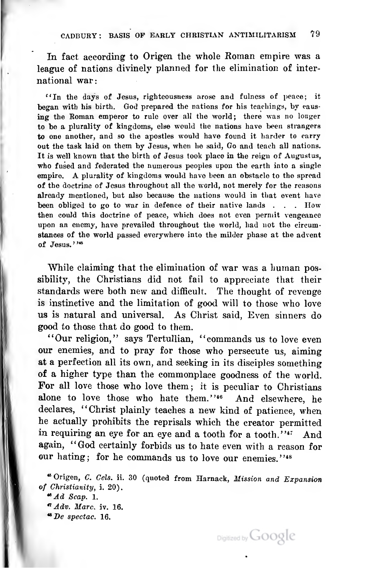### CADBURY: BASIS OF EARLY CHRISTIAN ANTIMILITARISM 79

In fact according to Origen the whole Roman empire was a league of nations divinely planned for the elimination of international war:

"In the days of Jesus, righteousness arose and fulness of peace; it began with his birth. God prepared the nations for his teachings, by causing the Roman emperor to rule over all the world; there was no longer to be a plurality of kingdoms, else would the nations have been strangers to one another, and so the apostles would have found it harder to carry out the task laid on them by Jesus, when he said, Go and teach all nations. It is well known that the birth of Jesus took place in the reign of Augustus, who fused and federated the numerous peoples upon the earth into a single empire. A plurality of kingdoms would have been an obstacle to tho spread of the doctrine of Jesus throughout all the world, not merely for the reasons already mentioned, but also because the nations would in that event have been obliged to go to war in defence of their native lands . . . How then could this doctrine of peace, which does not even permit vengeance upon an enemy, have prevailed throughout the world, had not the circumstanees of the world passed everywhere into the milder phase at the advent of Jesus.''<sup>45</sup>

While claiming that the elimination of war was a human possibility, the Christians did not fail to appreciate that their standards were both new and difficult. The thought of revenge is instinctive and the limitation of good will to those who love us is natural and universal. As Christ said, Even sinners do good to those that do good to them.

''Our religion,'' says Tertullian, ''commands us to love even our enemies, and to pray for those who persecute us, aiming at a perfection all its own, and seeking in its disciples something of a higher type than the commonplace goodness of the world. For all love those who love them; it is peculiar to Christians alone to love those who hate them."<sup>146</sup> And elsewhere, he declares, ''Christ plainly teaches a new kind of patience, when he actually prohibits the reprisals which the creator permitted in requiring an eye for an eye and a tooth for a tooth."<sup>47</sup> And again, ''God certainly forbids us to hate even with a reason for our hating; for he commands us to love our enemies."<sup>48</sup>

411 Origen, *C. Gels.* ii. 30 (quoted from Harnack, *Mission and Expansion of Christianity,* i. 20).

- *n* .Adv. *Marc.* iv. 16.
- *44 De spectac.* 16.

Digitized by  $Google$ 

*<sup>44</sup> Ad Scap.* 1.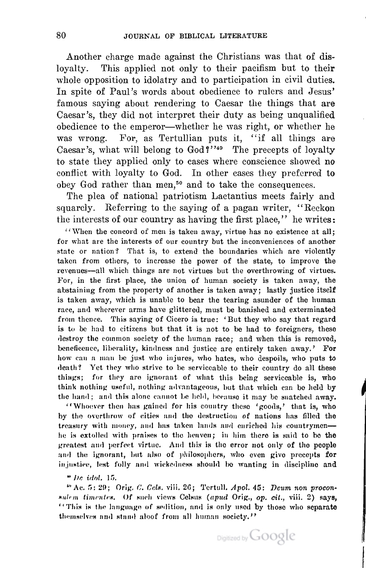Another charge made against the Christians was that of disloyalty. This applied not only to their pacifism but to their whole opposition to idolatry and to participation in civil duties. In spite of Paul's words about obedience to rulers and Jesus' famous saying about rendering to Caesar the things that are Caesar's, they did not interpret their duty as being unqualified obedience to the emperor-whether he was right, or whether he was wrong. For, as Tertullian puts it, "if all things are Caesar's, what will belong to God?''<sup>49</sup> The precepts of loyalty to state they applied only to cases where conscience showed no conflict with loyalty to God. In other cases they preferred to obey God rather than men,<sup>50</sup> and to take the consequences.

The plea of national patriotism Lactantius meets fairly and squarely. Referring to the saying of a pagan writer, "Reckon the interests of our country as having the first place,'' he writes:

''"'hen the concord of men is taken away, virtue has no existence at all; for what are the interests of our country but the inconveniences of another state or nation? That is, to extend the boundaries which are violently taken from others, to increase the power of the state, to improve the revenues---all which things are not virtues but the overthrowing of virtues. For, in the first place, the union of human society is taken away, the abstaining from the property of another is taken away; lastly justice itself is taken away, which is unable to bear the tearing asunder of the human race, and wherever arms have glittered, must be banished and exterminated from thence. This saying of Cicero is true: 'But they who say that regard is to be had to citizens but that it is not to be had to foreigners, these destroy the common society of the human race; and when this is removed, beneficence, liberality, kindness and justice are entirely taken away.' For how can a man be just who injures, who hates, who despoils, who puts to death? Yet they who strive to be serviceable to their country do all these things; for they are ignorant of what this being serviceable is, who think nothing useful, nothing advantageous, but that which can be held by the hand; and this alone cannot be held, because it may be snatched away.

"Whoever then has gained for his country these 'goods,' that is, who by the overthrow of cities and the destruction of nations has filled the treasury with money, and has taken lands and enriched his countrymenhe is extolled with praises to the henven; in him there is said to be the greatest and perfect virtue. And this is the error not only of the people and the ignorant, but also of philosophers, who even givo precepts for injustice, lest folly and wickedness should be wanting in discipline and

.., *I* Jc *idol.* l !J.

" Ac. 5: 29; Orig. C. Cels. viii. 26; Tertull. *Apol.* 45: Deum non procon- $\mu$ ulem timentes. Of such views Celsus *(apud Orig., op. cit., viii. 2)* says, "This is the language of sedition, and is only used by those who separate themselves and stand abof from all human society."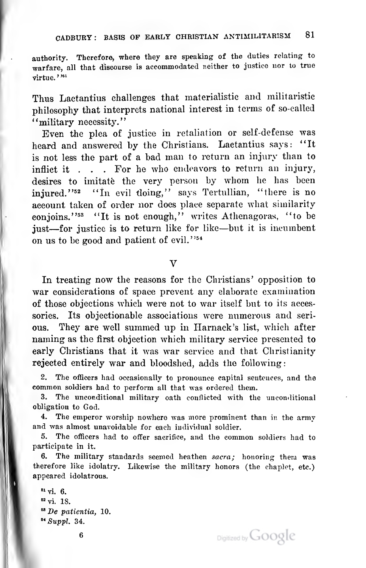authority. Therefore, where they are speaking of the duties relating to warfare, all that discourse is accommodated neither to justice nor to true virtue.''<sup>51</sup>

Thus Laetantius challenges that materialistic and militaristic philosophy that interprets national interest in terms of so-called "military necessity."

Even the plea of justice in retaliation or self-defense was heard and answered by the Christians. Laetantius says: ''It is not less the part of a bad man to return an injury than to inflict it  $\ldots$ . For he who endeavors to return an injury, desires to imitate the very person by whom he has been injured."<sup>52</sup> "In evil doing," says Tertullian, "there is no account taken of order nor does place separate what similarity conjoins."<sup>53</sup> "It is not enough," writes Athenagoras, "to be just-for justice is to return like for like-but it is incumbent on us to be good and patient of evil.''<sup>54</sup>

v

In treating now the reasons for the Christians' opposition to war considerations of space prevent any elaborate examination of those objections which were not to war itself but to its accessories. Its objectionable associations were numerous and serious. They are well summed up in Harnack's list, which after naming as the first objection which military service presented to early Christians that it was war service and that Christianity rejected entirely war and bloodshed, adds the following:

2. The officers had occasionally to pronounce capital sentences, and the common soldiers had to perform all that was ordered them.

3. The unconditional military oath conflicted with the unconditional obligation to God.

4. The emperor worship nowhere was more prominent than in the army and was almost unavoidable for each individual soldier.

5. The officers had to offer sacrifice, and the common sohliers had to participate in it.

6. The military standards seemed heathen *sacra;* honoring them was therefore like idolatry. Likewise the military honors (the chaplet, ete.) appeared idolatrous.

 $1$  vi. 6.  $52$  vi. 18. <sup>53</sup> *De patientia*, 10.<br><sup>54</sup> *Suppl.* 34.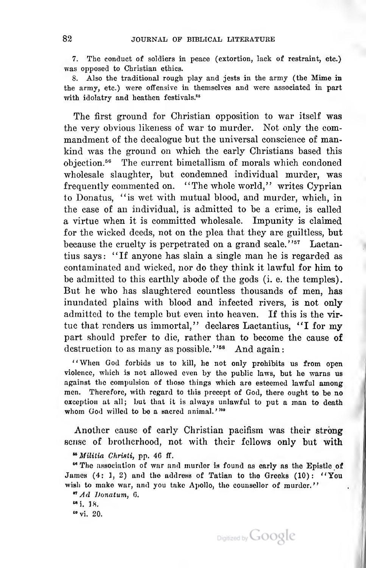7. The conduct of soldiers in peace (extortion, lack of restraint, etc.) was opposed to Christian ethics.

8. Also the traditional rough play and jests in the army (the Mime in the army, etc.) were offensive in themselves and were associated in part with idolatry and heathen festivals.<sup>55</sup>

The first ground for Christian opposition to war itself was the very obvious likeness of war to murder. Not only the commandment of the decalogue but the universal conscience of mankind was the ground on which the early Christians based this objection.56 The current bimetallism of morals which condoned wholesale slaughter, but condemned individual murder, was frequently commented on. "The whole world," writes Cyprian to Donatus, "is wet with mutual blood, and murder, which, in the case of an individual, is admitted to be a crime, is called a virtue when it is committed wholesale. Impunity is claimed for the wicked deeds, not on the plea that they are guiltless, but because the cruelty is perpetrated on a grand scale."<sup>57</sup> Lactantius says: ''If anyone has slain a single man he is regarded as contaminated and wicked, nor do they think it lawful for him to be admitted to this earthly abode of the gods (i. e. the temples). But he who has slaughtered countless thousands of men, has inundated plains with blood and infected rivers, is not only admitted to the temple but even into heaven. If this is the virtue that renders us immortal,'' declares Lactantius, ''I for my part should prefer to die, rather than to become the cause of destruction to as many as possible."<sup>58</sup> And again:

''When God forbids us to kill, he not only prohibits us from open violence, which is not allowed even by tho public laws, but he warns us against the compulsion of those things which are esteemed lawful among men. Therefore, with regard to this precept of God, there ought to be no exception at all; but that it is always unlawful to put a man to death whom God willed to be a sacred animal.' 100

Another cause of early Christian pacifism was their strong sense of brotherhood, not with their fellows only but with

<sup>16</sup> Militia Christi, pp. 46 ff.

"The association of war and murder is found as early as the Epistle of James  $(4: 1, 2)$  and the address of Tatian to the Greeks  $(10):$  "You wish to make war, and you take Apollo, the counsellor of murder."

 $A$ d Donatum, 6.

 $41.18.$  $"vi. 20.$ 

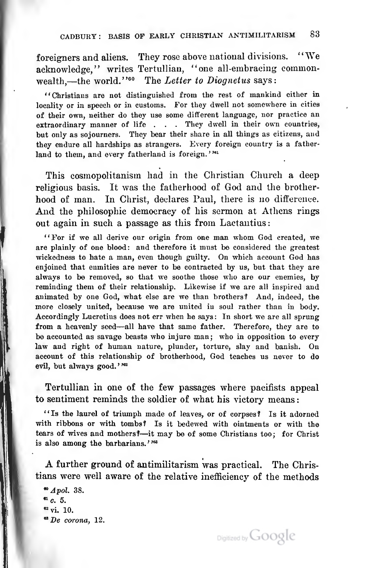foreigners and aliens. They rose above national divisions.  $"We$ acknowledge,'' writes Tertullian, '' one all-embracing commonwealth.- the world."<sup>60</sup> The *Letter to Diognetus* says:

''Christians are not distinguished from the rest of mankind either in locality or in speech or in customs. For they dwell not somewhere in cities of their own, neither do they use some different language, nor practice an extraordinary manner of life . . They dwell in their own countries, but only as sojourners. They bear their share in all things as citizens, aud they endure all hardships as strangers. Every foreign country is a fatherland to them, and every fatherland is foreign.''<sup>841</sup>

This cosmopolitanism had in the Christian Church a deep religious basis. It was the fatherhood of God and the brotherhood of man. In Christ, declares Paul, there is no difference. .And the philosophic democracy of his sermon at Athens rings out again in such a passage as this from Lactantius:

''For if we all derive our origin from one man whom God created, we are plainly of one blood: and therefore it must be considered the greatest wickedness to hate a man, even though guilty. On which account God has enjoined that enmities are never to be contracted by us, but that they are always to be removed, so that we soothe those who are our enemies, by reminding them of their relationship. Likewise if we are all inspired and animated by one God, what else are we than brothersf And, indeed, the more closely united, because we are united in soul rather than in body. Accordingly Lucretius does not err when he says : In short we are all sprung from a heavenly seed--all have that same father. Therefore, they are to be accounted as savage beasts who injure man; who in opposition to every law and right of human nature, plunder, torture, slay and banish. On account of this relationship of brotherhood, God teaches us never to do evil, but always good.' $^{\prime\prime\prime\prime\prime}$ 

Tertullian in one of the few passages where pacifists appeal to sentiment reminds the soldier of what his victory means :

"Is the laurel of triumph made of leaves, or of corpses f Is it adorned with ribbons or with tombs? Is it bedewed with ointments or with the tears of wives and mothers?--it may be of some Christians too; for Christ is also among the barbarians.' <sup>163</sup>

A further ground of antimilitarism was practical. The Christians were well aware of the relative inefficiency of the methods

 $^{\bullet\bullet}$  Apol. 38. 81 *c.* 5. <sup>62</sup> vi. 10.<br><sup>63</sup> De corona, 12.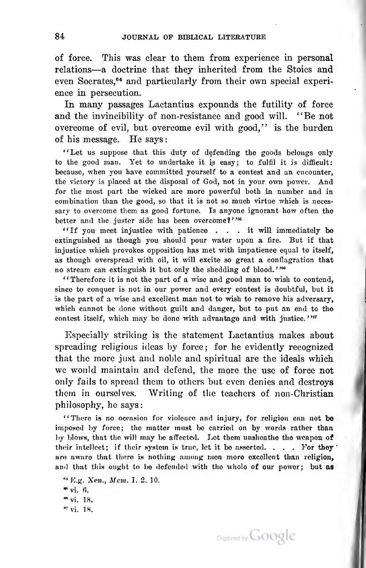of force. This was clear to them from experience in personal relations-a doctrine that they inherited from the Stoics and even Socrates.<sup>64</sup> and particularly from their own special experience in persecution.

In many passages Lactantius expounds the futility of force and the invincibility of non-resistance and good will. "Be not overcome of evil, but overcome evil with good,'' is the burden of his message. He says:

"Let us suppose that this duty of defending the goods belongs only to the good man. Yet to undertake it is easy; to fulfil it is difficult: because, when you have committed yourself to a contest and an encounter, the victory is placed at the disposal of God, not in your own power. And for the most part the wicked are more powerful both in number and in combination than the good, so that it is not so much virtue which is necessary to overcome them as good fortune. Is anyone ignorant how often the better and the juster side has been overcome?"<sup>56</sup>

"If yon meet injustice with patience . . it will immediately be extinguished as though you should pour water upon a fire. But if that injustice which provokes opposition has met with impatience equal to itself, as though overspread with oil, it will excite so great a conflagration that no stream can extinguish it but only the shedding of blood.''<sup>66</sup>

''Therefore it is not the part of a wise and good man to wish to contend, since to conquer is not in our power and every contest is doubtful, but it is the part of a wise and excellent man not to wish to remove his adversary, which cannot be done without guilt and danger, but to put an end to the contest itself, which may be done with advantage and with justice.''<sup>07</sup>

Especially striking is the statement Lactantius makes about spreading religious ideas by force; for he evidently recognized that the more just and noble and spiritual are the ideals which we would maintaiu and defend, the more the usc of force not only fails to spread them to others but even denies and destroys them in ourselves. \Vriting of the teachers of non-Christian philosophy, he says:

"There is no occasion for violence and injury, for religion can not be imposed by force; the matter must be carried on by words rather than by blows, that the will may be affected. Let them unsheathe the weapon of their intellect; if their system is true, let it be asserted. . . . For they  $\cdot$ are aware that there is nothing among men more excellent than religion, and that this ought to be defended with the whole of our power; but as

<sup>~&#</sup>x27;Kg. Xm1., *Mr:m.* J. 2. 10.

 $M$  vi.  $6$ .

<sup>&</sup>quot;"vi. lH.

 $n$  vi. 18.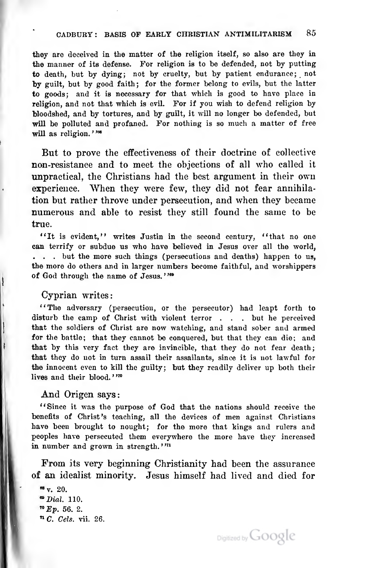#### CADBURY: BASIS OF EARLY CHRISTIAN ANTIMILITARISM 85

they are deceived in the matter of the religion itself, so also are they in the manner of its defense. For religion is to be defended, not by putting to death, but by dying; not by cruelty, but by patient endurance; not by guilt, but by good faith; for the former belong to evils, but the latter to goods; and it is necessary for that which is good to have place in religion, and not that which is evil. For if you wish to defend religion by bloodshed, and by tortures, and by guilt, it will no longer be defended, but will be polluted and profaned. For nothing is so much a matter of free will as religion.''<sup>66</sup>

But to prove the effectiveness of their doctrine of collective non-resistance and to meet the objections of all who called it unpractical, the Christians had the best argument in their own experience. When they were few, they did not fear annihilation but rather throve under persecution, and when they became numerous and able to resist they still found the same to be true.

"It is evident," writes Justin in the second century, "that no one can terrify or subdue us who have believed in Jesus over all the world, ... but the more such things (persecutions and deaths) happen to us, the more do others and in larger numbers become faithful, and worshippers of God through the name of Jesus.""

### Cyprian writes:

"The adversary (persecution, or the persecutor) had leapt forth to disturb the camp of Christ with violent terror . . but he perceived that the soldiers of Christ are now watching, and stand sober and armed for the battle; that they cannot be conquered, but that they can die; and that by this very fact they are invincible, that they do not fear death; that they do not in turn assail their assailants, since it is not lawful for the innocent even to kill the guilty; but they readily deliver up both their lives and their blood.'"

#### And Origen says:

"Since it was the purpose of God that the nations should receive the benefits of Christ's teaching, all the devices of men against Christians have been brought to nought; for the more that kings and rulers and peoples have persecuted them everywhere the more have they increased in number and grown in strength.'"1

From its very beginning Christianity had been the assurance of an idealist minority. Jesus himself had lived and died for

es v. 20.  $\bullet$  Dial. 110.  $E_{p.}$  56. 2. *11* C. Gels. vii. 26.

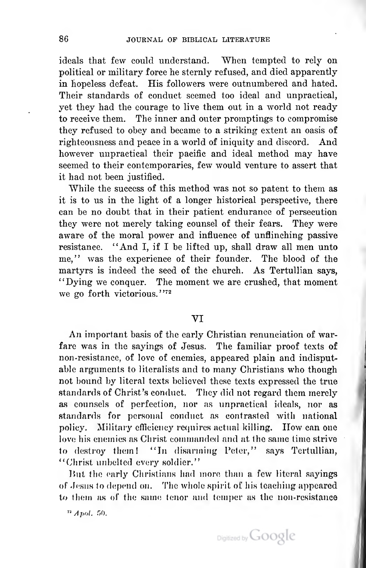ideals that few could understand. When tempted to rely on political or military force he sternly refused, and died apparently in hopeless defeat. His followers were outnumbered and hated. Their standards of conduct seemed too ideal and unpractical, yet they had the courage to live them out in a world not ready to receive them. The inner and outer promptings to compromise they refused to obey and became to a striking extent an oasis of righteousness and peace in a world of iniquity and discord. And however unpractical their pacific and ideal method may have seemed to their contemporaries, few would venture to assert that it had not been justified.

While the success of this method was not so patent to them as it is to us in the light of a longer historical perspective, there can be no doubt that in their patient endurance of persecution they were not merely taking counsel of their fears. They were aware of the moral power and influence of unflinching passive resistance. ''And I, if I be lifted up, shall draw all men unto me,'' was the experience of their founder. The blood of the martyrs is indeed the seed of the church. As Tertullian says, ''Dying we conquer. The moment we are crushed, that moment we go forth victorious."<sup>72</sup>

#### VI

An important basis of the early Christian renunciation of warfare was in the sayings of Jesus. The familiar proof texts of non-resistance, of love of enemies, appeared plain and indisputable arguments to literalists and to many Christians who though not bound by literal texts believed these texts expressed the true standards of Christ's conduct. They did not regard them merely as counsels of perfection, nor as unpractical ideals, nor as standards for persoual conduct as contrasted with national policy. Military efficiency requires actual killing. How can one love his enemies as Christ commanded and at the same time strive to destroy them! "In disarming Peter," says Tertullian, "Christ unbelted every soldier."

But the early Christians had more than a few literal sayings of Jesus to depend on. The whole spirit of his teaching appeared to them as of the same tenor and temper as the non-resistance

 $12$  A pol.  $50$ .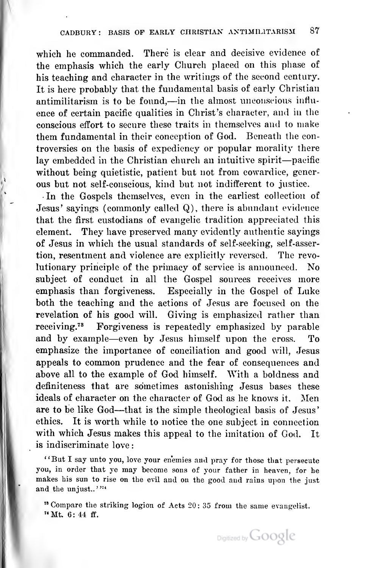$\mathbb{N}$ 

which he commanded. There is clear and decisive evidence of the emphasis which the early Church placed on this phase of his teaching and character in the writings of the second century. It is here probably that the fundamental basis of early Christian antimilitarism is to be found,-in the almost unconscious influence of certain pacific qualities in Christ's character, and in the conscious effort to secure these traits in themselves and to make them fundamental in their conception of God. Beneath the controversies on the basis of expediency or popular morality there lay embedded in the Christian church an intuitive spirit-pacific without being quietistic, patient but not from cowardice, generous but not self-conscious, kind but not indifferent to justice .

. In the Gospels themselves, even in the earliest collection of Jesus' sayings (commonly called  $Q$ ), there is abundant evidence that the first custodians of evangelic tradition appreciated this element. They have preserved many evidently authentic sayings of Jesus in which the usual standards of self-seeking, self-assertion, resentment and violence are explicitly reversed. The revolutionary principle of the primacy of service is announced. No subject of conduct in all the Gospel sources receives more emphasis than forgiveness. Especially in the Gospel of Luke both the teaching and the actions of Jesus are focused on the revelation of his good will. Giving is emphasized rather than receiving.<sup>73</sup> Forgiveness is repeatedly emphasized by parable and by example-even by Jesus himself upon the cross. To emphasize the importance of conciliation and good will, Jesus appeals to common prudence and the fear of consequences and above all to the example of God himself. With a boldness and definiteness that are sometimes astonishing Jesus bases these ideals of character on the character of God as he knows it. Men are to be like God-that is the simple theological basis of Jesus' ethics. It is worth while to notice the one subject in connection with which Jesus makes this appeal to the imitation of God. It is indiscriminate love :

"But I say unto you, love your en'emies and pray for those that persecute you, in order that ye may become sons of your father in heaven, for he makes his sun to rise on the evil and on the good and rains upon the just and the unjust..'<sup>774</sup>

<sup>13</sup> Compare the striking logion of Acts 20:35 from the same evangelist.  $M<sup>14</sup>$  Mt. 6: 44 ff.

Digitized by Google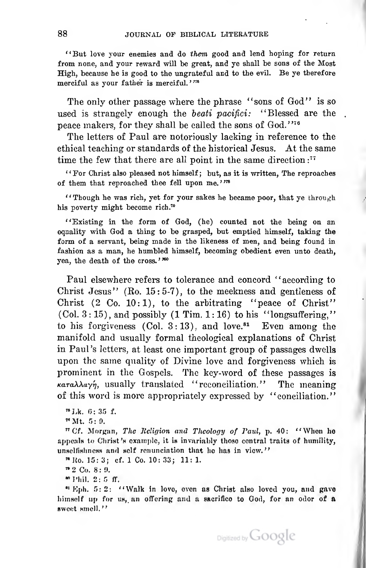''But love your enemies and do *them* good and lend hoping for return from none, and your reward will be great, and ye shall be sons of the Most High, because he is good to the ungrateful and to the evil. Be ye therefore merciful as your father is merciful. *'no* 

The only other passage where the phrase "sons of God" is so used is strangely enough the *beati pacifici:* ''Blessed are the peace makers, for they shall be called the sons of God.''<sup>76</sup>

The letters of Paul are notoriously lacking in reference to the ethical teaching or standards of the historical Jesus. At the same time the few that there are all point in the same direction : 77

''For Christ also pleased not himself; but, as it is written, The reproaches of them that reproached thee fell upon me.'"

"Though he was rich, yet for your sakes he became poor, that ye through his poverty might become rich.79

''Existing in the form of God, (be) counted not the being on an equality with God a thing to be grasped, but emptied himself, taking the form of a servant, being made in the likeness of men, and being found in fashion as a man, he humbled himself, becoming obedient even unto death, yea, the death of the cross.' \*\*

Paul elsewhere refers to tolerance and concord ''according to Christ Jesus" (Ro. 15:5-7), to the meekness and gentleness of Christ  $(2 \text{ Co. } 10:1)$ , to the arbitrating "peace of Christ"  $(Col. 3: 15)$ , and possibly  $(1 Tim. 1: 16)$  to his "longsuffering," to his forgiveness (Col. 3:13), and love.<sup>81</sup> Even among the manifold and usually formal theological explanations of Christ in Paul 's letters, at least one important group of passages dwells upon the same quality of Divine love and forgiveness which is prominent in the Gospels. The key-word of these passages is  $\kappa a \tau a \lambda \lambda a \gamma \dot{\eta}$ , usually translated "reconciliation." The meaning of this word is more appropriately expressed by ''conciliation.''

<sup>77</sup> Cf. Morgan, *The Religion and Theology of Paul*, p. 40: ''When he appeals to Christ's example, it is invariably those central traits of humility, unselfishness and self renuncintion that he has in view."

" Ro. 15: 3; cf. 1 Co. 10: 33; 11: 1.

 $n2$  Co. 8: 9.

.., Phil. 2 :!) fT.

" Eph. 5: 2: "Walk in love, even as Christ also loved you, and gave himself up for us, an offering and a sacrifice to God, for an odor of a sweet smell.''

 $76$  J.k.  $6:35$  f.

 $74$  Mt.  $5: 9$ .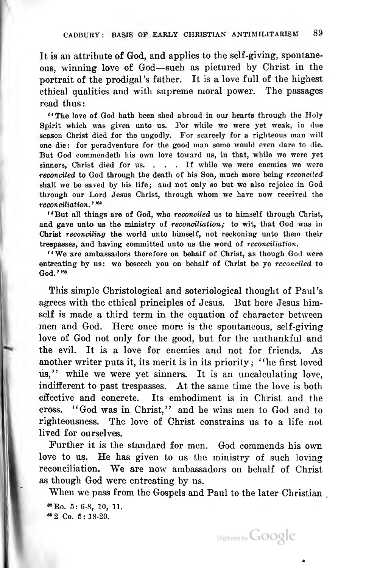It is an attribute of God, and applies to the self-giving, spontaneous, winning love of God-such as pictured by Christ in the portrait of the prodigal's father. It is a love full of the highest ethical qualities and with supreme moral power. The passages read thus:

"The love of God hath been shed abroad in our hearts through the Holy Spirit which was given unto us. For while we were yet weak, in due season Christ died for the ungodly. For scarcely for a righteous man will one die: for peradventure for the good man some would even dare to die. But God commendeth his own love toward us, in that, while we were yet sinners, Christ died for us. . . . If while we were enemies we were *reconciled* to God through the death of his Son, much more being *reconciled*  shall we be saved by his life; and not only so but we also rejoice in God through our Lord Jesus Christ, through whom we have now received the *reconciliation.* ' 182

*1 1* But all things are of God, who *reconciled* us to himself through Christ, and gave unto us the ministry of *reconciliation;* to wit, that God was in Christ *reconciling* the world unto himself, not reckoning unto them their trespasses, and having committed unto us the word of *reconciliation.* 

<sup>1</sup> ' We are ambassadors therefore on behalf of Christ, as though God were entreating by us: we beseech you on behalf of Christ be ye *reconciled* to God.''83

This simple Christological and soteriologieal thought of Paul 's agrees with the ethical principles of Jesus. But here Jesus himself is made a third term in the equation of character between men and God. Here once more is the spontaneous, self-giving love of God not only for the good, but for the unthankful and the evil. It is a love for enemies and not for friends. As another writer puts it, its merit is in its priority ; ''he first loved us," while we were yet sinners. It is an uncalculating love, indifferent to past trespasses. At the same time the love is both effective and concrete. Its embodiment is in Christ and the cross. "God was in Christ," and he wins men to God and to righteousness. The love of Christ constrains us to a life not lived for ourselves.

Further it is the standard for men. God commends his own love to us. He has given to us the ministry of such loving reconciliation. We are now ambassadors on behalf of Christ as though God were entreating by us.

When we pass from the Gospels and Paul to the later Christian .

 $^{82}$  Ro. 5: 6-8, 10, 11.<br> $^{83}$  2 Co. 5: 18-20.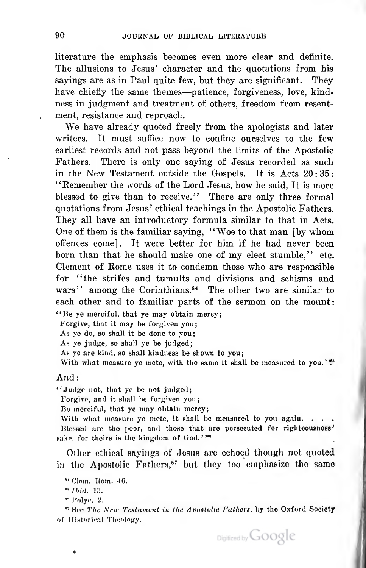literature the emphasis becomes even more clear and definite. The allusions to Jesus' character and the quotations from his sayings are as in Paul quite few, but they are significant. They have chiefly the same themes—patience, forgiveness, love, kindness in judgment and treatment of others, freedom from resentment, resistance and reproach.

We have already quoted freely from the apologists and later writers. It must suffice now to confine ourselves to the few earliest records and not pass beyond the limits of the Apostolic Fathers. There is only one saying of Jesus recorded as such in the New Testament outside the Gospels. It is Acts 20: 35: "Remember the words of the Lord Jesus, how he said, It is more blessed to give than to receive.'' There are only three formal quotations from Jesus' ethical teachings in the Apostolic Fathers. They all have an introductory formula similar to that in Acts. One of them is the familiar saying, ''Woe to that man [by whom offences come]. It were better for him if he had never been born than that he should make one of my elect stumble," etc. Clement of Rome uses it to condemn those who are responsible for ''the strifes and tumults and divisions and schisms and wars" among the Corinthians.<sup>84</sup> The other two are similar to each other and to familiar parts of the sermon on the mount: "Be ye merciful, that ye may obtain mercy;

Forgive, that it may be forgiven you;

As yc do, so shall it be done to you;

As ye judge, so shall ye be judged;

As ye are kind, so shall kindness be shown to you;

With what measure ye mete, with the same it shall be measured to you." $\mathbb{P}^3$ 

## And:

"Judge not, that ye be not judged;

Forgive, and it shall be forgiven you;

De merciful, that ye may ohtain mercy ;

With what measure yo mete, it shall be measured to you again. Blessed are the poor, and those that are persecuted for righteousness' sake, for theirs is the kingdom of God.'  $^{36}$ 

Other ethical sayings of Jesus are echoed though not quoted in the Apostolic Fathers,<sup>87</sup> but they too emphasize the same

\* Clem. Rom. 46.

 $^{\omega}$  *Ibid.* 13.

\*\* Polye. 2.

•

<sup>47</sup> See The New Testament in the Apostolic Fathers, by the Oxford Society of Historical Theology.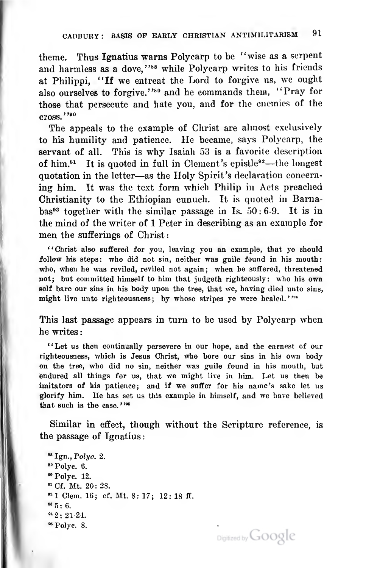theme. Thus Ignatius warns Polycarp to be ''wise as a serpent and harmless as a dove,''<sup>88</sup> while Polycarp writes to his friends at Philippi, "If we entreat the Lord to forgive us, we ought also ourselves to forgive.''<sup>89</sup> and he commands them, "Pray for those that persecute and hate you, and for the enemies of the cross. ''<sup>90</sup>

The appeals to the example of Christ are almost exclusively to his humility and patience. He became, says Polycarp, the servant of all. This is why Isaiah 53 is a favorite description of him.<sup>91</sup> It is quoted in full in Clement's epistle<sup>92</sup>—the longest quotation in the letter-as the Holy Spirit's declaration concerning him. It was the text form which Philip in Acts preached Christianity to the Ethiopian eunuch. It is quoted in Barna $bas^{93}$  together with the similar passage in Is. 50:6-9. It is in the mind of the writer of 1 Peter in describing as an example for men the sufferings of Christ :

"Christ also suffered for you, leaving you an example, that ye should follow his steps: who did not sin, neither was guile found in his mouth: who, when he was reviled, reviled not again; when he suffered, threatened not; but committed himself to him that judgeth righteously: who his own self bare our sins in his body upon the tree, that we, having died unto sins, might live unto righteousness; by whose stripes ye were healed.'"

This last passage appears in turn to be used by Polycarp when he writes:

''Let us then continually persevere in our hope, and the earnest of our righteousness, which is Jesus Christ, who bore our sins in his own body on the tree, who did no sin, neither was guile found in his mouth, but endured all things for us, that we might live in him. Let us then be imitators of his patience; and if we suffer for his name's sake let us glorify him. He has set us this example in himself, and we have believed that such is the case.' $^{195}$ 

Similar in effect, though without the Scripture reference, is the passage of Ignatius :

88 Ign., *Polyc.* 2. 89 Polyc. 6. **90 Polyc. 12.** 91 Polyc. 12. 91 Cf. Mt. 20: 28. 82 1 Clem. 16; cf. Mt. 8: 17; 12:18 ff.  $83.5:6.$ H 2: 21-24. ~ Polye. 8.

Digitized by Google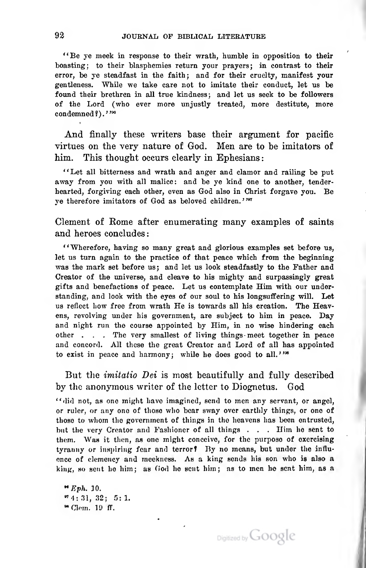"Be ye meek in response to their wrath, humble in opposition to their boasting; to their blasphemies return your prayers; in contrast to their error, be ye steadfast in the faith; and for their cruelty, manifest your gentleness. While we take care not to imitate their conduct, let us be found their brethren in all true kindness; and let us seek to be followers of the Lord (who ever more unjustly treated, more destitute, more condemned ?).'' ''

And finally these writers base their argument for pacific virtues on the very nature of God. Men are to be imitators of him. This thought occurs clearly in Ephesians:

''Let all bitterness and wrath and anger and clamor and railing be put away from you with all malice: and be ye kind one to another, tenderhearted, forgiving each other, even as God also in Christ forgave you. Be ve therefore imitators of God as beloved children.''"

Clement of Rome after enumerating many examples of saints and heroes concludes:

"Wherefore, having so many great and glorious examples set before us, let us turn again to the practice of that peace which from the beginning was the mark set before us; and let us look steadfastly to the Father and Creator of the universe, and cleave to his mighty and surpassingly great gifts and benefactions of peace. Let us contemplate Him with our understanding, and look with the eyes of our soul to his longsuffering will. Let us reflect how free from wrath He is towards all his creation. The Heavens, revolving under his government, are subject to him in peace. Day and night run the course appointed by Him, in no wise hindering each other . . The very smallest of living things· meet together in peace and concord. All these the great Creator and Lord of all has appointed to exist in peace and harmony; while he does good to all.''<sup>388</sup>

# But the *imitatio Dei* is most beautifully and fully described by the anonymous writer of the letter to Diognetus. God

"did not, as one might have imagined, send to men any servant, or angel, or ruler, or any one of those who bear sway over earthly things, or one of those to whom the government of things in the heavens has been entrusted, hnt the very Creator and Fashioner of all things . . . Him he sent to them. Was it then, as one might conceive, for the purposo of exercising tyranny or inspiring fear and terrorf By no means, but under the influonce of clemency and meekness. As a king sends his son who is also a king, so sent he him; as God he sent him; as to men he sent him, as a

 $\frac{1}{n}$  *Eph.* 10.<br>  $\frac{n}{4}$ : 31, 32; 5: 1.  $^{\circ\circ}$  Clem. 19 ff.

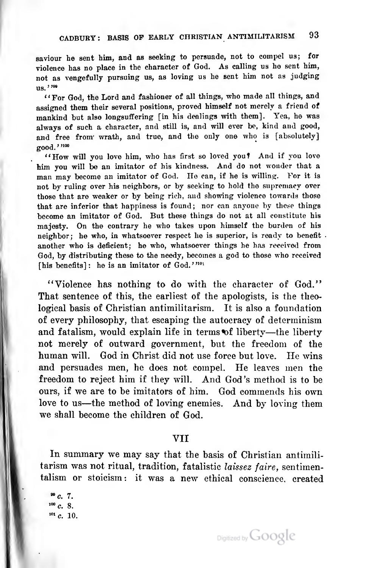saviour be sent him, and as seeking to persuade, not to compel us; for violence bas no place in the character of God. As calling us ho sent him, not as vengefully pursuing us, as loving us he sent him not as judging us.' JDQ

''For God, the Lord and fashioner of all things, who made all things, and assigned them their several positions, proved himself not merely a friend of mankind but also longsuffering [in his dealings with them]. Yea, he was always of such a character, and still is, and will ever be, kind and good, and free from wrath, and true, and the only one who is [absolutely] good.' *<sup>1100</sup>*

"How will you love him, who has first so loved you? And if you love him you will be an imitator of his kindness. And do not wonder that a man may become an imitator of God. He can, if he is willing. For it is not by ruling over his neighbors, or by seeking to hold the supremacy over those that are weaker or by being rich, and showing violence towards those that are inferior that happiness is found; nor can anyone by these things become an imitator of God. But these things do not at all constitute his majesty. On the contrary he who takes upon himself the burden of his neighbor; be who, in whatsoever respect he is superior, is ready to benefit . another who is deficient; he who, whatsoever things he has received from God, by distributing these to the needy, becomes a god to those who received [his benefits]: he is an imitator of  $God.'''<sup>101</sup>$ 

"Violence has nothing to do with the character of God." That sentence of this, the earliest of the apologists, is the theological basis of Christian antimilitarism. It is also a foundation of every philosophy, that escaping the autocracy of determinism and fatalism, would explain life in terms of liberty—the liberty not merely of outward government, but the freedom of the human will. God in Christ did not use force but love. He wins and persuades men, he does not compel. He leaves men the freedom to reject him if they will. And God's method is to be ours, if we are to be imitators of him. God commends his own love to us—the method of loving enemies. And by loving them we shall become the children of God.

### VII

In summary we may say that the basis of Christian antimilitarism was not ritual, tradition, fatalistic *laissez faire,* sentimentalism or stoicism : it was a new ethical conscience, created

*we.* 7. <sup>100</sup>*c.* 8. lot *c.* 10.